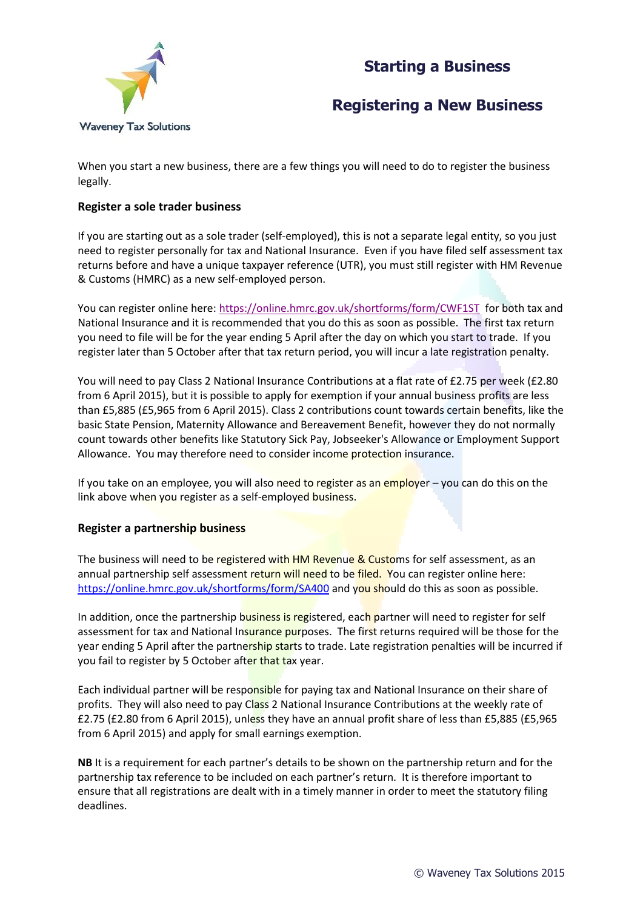# **Starting a Business**



## **Registering a New Business**

When you start a new business, there are a few things you will need to do to register the business legally.

### **Register a sole trader business**

If you are starting out as a sole trader (self-employed), this is not a separate legal entity, so you just need to register personally for tax and National Insurance. Even if you have filed self assessment tax returns before and have a unique taxpayer reference (UTR), you must still register with HM Revenue & Customs (HMRC) as a new self-employed person.

You can register online here:<https://online.hmrc.gov.uk/shortforms/form/CWF1ST>for both tax and National Insurance and it is recommended that you do this as soon as possible. The first tax return you need to file will be for the year ending 5 April after the day on which you start to trade. If you register later than 5 October after that tax return period, you will incur a late registration penalty.

You will need to pay Class 2 National Insurance Contributions at a flat rate of £2.75 per week (£2.80 from 6 April 2015), but it is possible to apply for exemption if your annual business profits are less than £5,885 (£5,965 from 6 April 2015). Class 2 contributions count towards certain benefits, like the basic State Pension, Maternity Allowance and Bereavement Benefit, however they do not normally count towards other benefits like Statutory Sick Pay, Jobseeker's Allowance or Employment Support Allowance. You may therefore need to consider income protection insurance.

If you take on an employee, you will also need to register as an employer – you can do this on the link above when you register as a self-employed business.

#### **Register a partnership business**

The business will need to be registered with HM Revenue & Customs for self assessment, as an annual partnership self assessment return will need to be filed. You can register online here: <https://online.hmrc.gov.uk/shortforms/form/SA400> and you should do this as soon as possible.

In addition, once the partnership business is registered, each partner will need to register for self assessment for tax and National Insurance purposes. The first returns required will be those for the year ending 5 April after the partnership starts to trade. Late registration penalties will be incurred if you fail to register by 5 October after that tax year.

Each individual partner will be responsible for paying tax and National Insurance on their share of profits. They will also need to pay Class 2 National Insurance Contributions at the weekly rate of £2.75 (£2.80 from 6 April 2015), unless they have an annual profit share of less than £5,885 (£5,965 from 6 April 2015) and apply for small earnings exemption.

**NB** It is a requirement for each partner's details to be shown on the partnership return and for the partnership tax reference to be included on each partner's return. It is therefore important to ensure that all registrations are dealt with in a timely manner in order to meet the statutory filing deadlines.